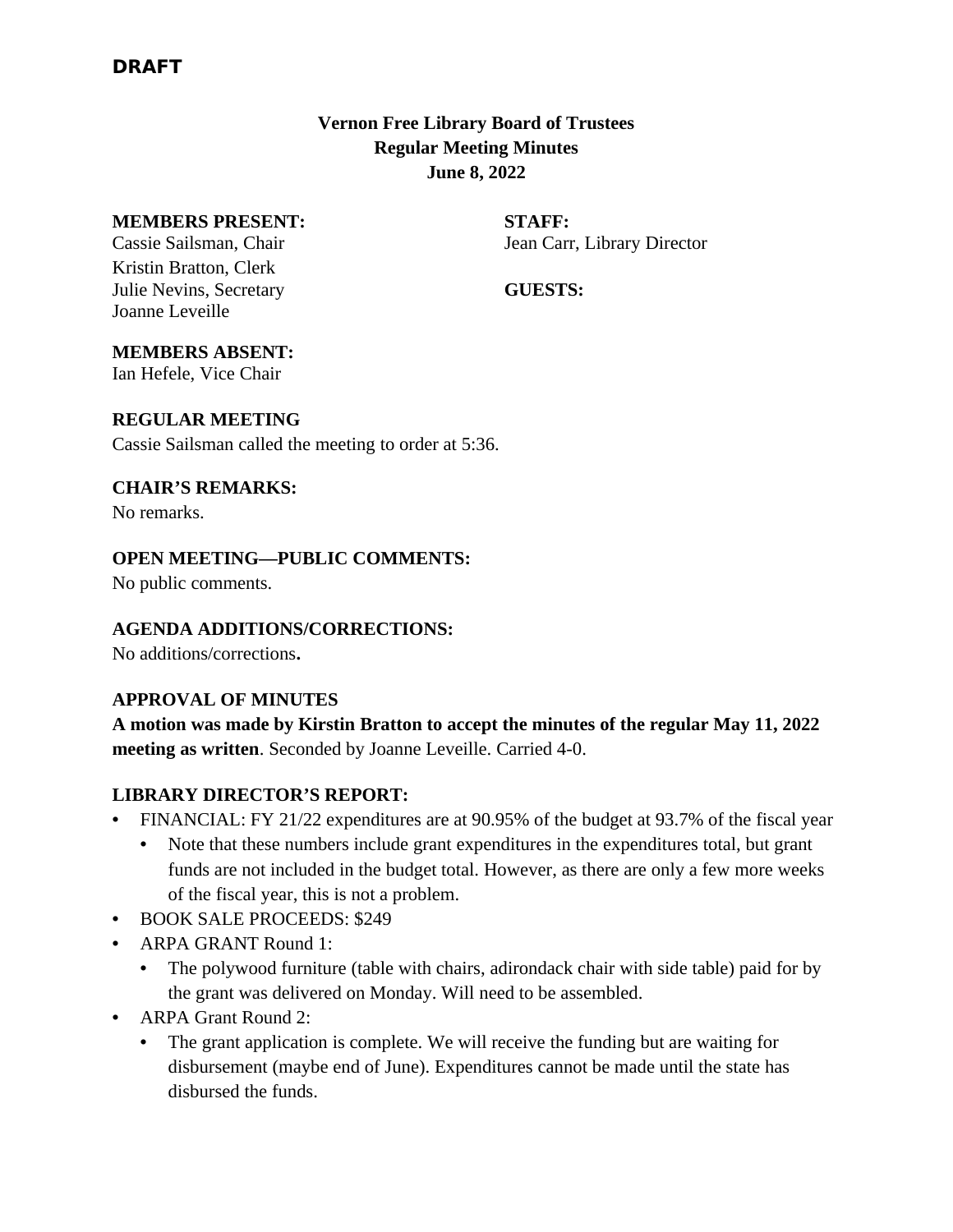# **Vernon Free Library Board of Trustees Regular Meeting Minutes June 8, 2022**

#### **MEMBERS PRESENT: STAFF:**

Kristin Bratton, Clerk Julie Nevins, Secretary **GUESTS:** Joanne Leveille

Cassie Sailsman, Chair Jean Carr, Library Director

### **MEMBERS ABSENT:**

Ian Hefele, Vice Chair

#### **REGULAR MEETING**

Cassie Sailsman called the meeting to order at 5:36.

# **CHAIR'S REMARKS:**

No remarks.

# **OPEN MEETING—PUBLIC COMMENTS:**

No public comments.

#### **AGENDA ADDITIONS/CORRECTIONS:**

No additions/corrections**.**

#### **APPROVAL OF MINUTES**

**A motion was made by Kirstin Bratton to accept the minutes of the regular May 11, 2022 meeting as written**. Seconded by Joanne Leveille. Carried 4-0.

# **LIBRARY DIRECTOR'S REPORT:**

- FINANCIAL: FY 21/22 expenditures are at 90.95% of the budget at 93.7% of the fiscal year
	- Note that these numbers include grant expenditures in the expenditures total, but grant funds are not included in the budget total. However, as there are only a few more weeks of the fiscal year, this is not a problem.
- BOOK SALE PROCEEDS: \$249
- ARPA GRANT Round 1:
	- The polywood furniture (table with chairs, adirondack chair with side table) paid for by the grant was delivered on Monday. Will need to be assembled.
- ARPA Grant Round 2:
	- The grant application is complete. We will receive the funding but are waiting for disbursement (maybe end of June). Expenditures cannot be made until the state has disbursed the funds.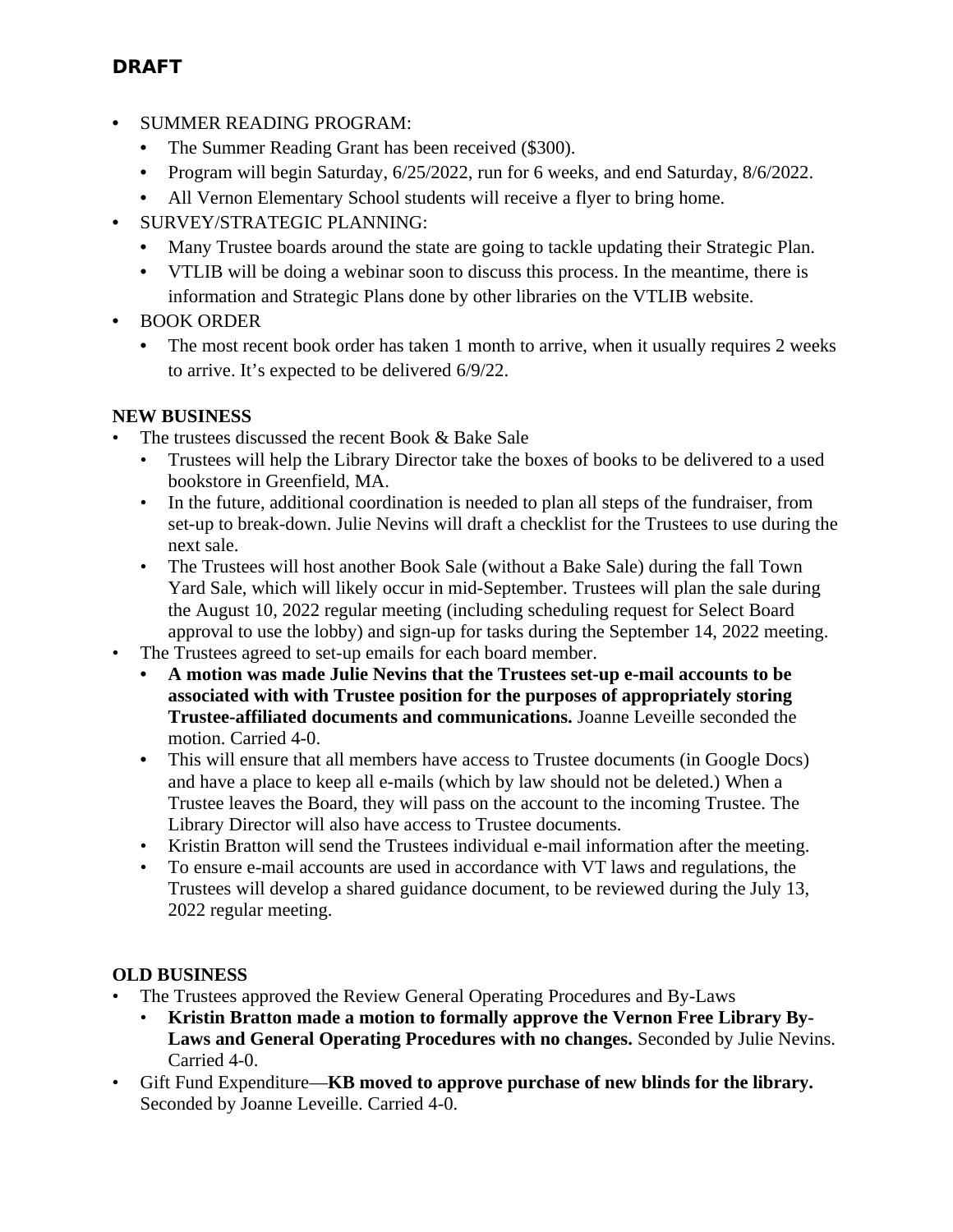# **DRAFT**

- SUMMER READING PROGRAM:
	- The Summer Reading Grant has been received (\$300).
	- Program will begin Saturday, 6/25/2022, run for 6 weeks, and end Saturday, 8/6/2022.
	- All Vernon Elementary School students will receive a flyer to bring home.
- SURVEY/STRATEGIC PLANNING:
	- Many Trustee boards around the state are going to tackle updating their Strategic Plan.
	- VTLIB will be doing a webinar soon to discuss this process. In the meantime, there is information and Strategic Plans done by other libraries on the VTLIB website.
- BOOK ORDER
	- The most recent book order has taken 1 month to arrive, when it usually requires 2 weeks to arrive. It's expected to be delivered 6/9/22.

# **NEW BUSINESS**

- The trustees discussed the recent Book & Bake Sale
	- Trustees will help the Library Director take the boxes of books to be delivered to a used bookstore in Greenfield, MA.
	- In the future, additional coordination is needed to plan all steps of the fundraiser, from set-up to break-down. Julie Nevins will draft a checklist for the Trustees to use during the next sale.
	- The Trustees will host another Book Sale (without a Bake Sale) during the fall Town Yard Sale, which will likely occur in mid-September. Trustees will plan the sale during the August 10, 2022 regular meeting (including scheduling request for Select Board approval to use the lobby) and sign-up for tasks during the September 14, 2022 meeting.
- The Trustees agreed to set-up emails for each board member.
	- **• A motion was made Julie Nevins that the Trustees set-up e-mail accounts to be associated with with Trustee position for the purposes of appropriately storing Trustee-affiliated documents and communications.** Joanne Leveille seconded the motion. Carried 4-0.
	- **•** This will ensure that all members have access to Trustee documents (in Google Docs) and have a place to keep all e-mails (which by law should not be deleted.) When a Trustee leaves the Board, they will pass on the account to the incoming Trustee. The Library Director will also have access to Trustee documents.
	- Kristin Bratton will send the Trustees individual e-mail information after the meeting.
	- To ensure e-mail accounts are used in accordance with VT laws and regulations, the Trustees will develop a shared guidance document, to be reviewed during the July 13, 2022 regular meeting.

# **OLD BUSINESS**

- The Trustees approved the Review General Operating Procedures and By-Laws
	- **Kristin Bratton made a motion to formally approve the Vernon Free Library By-Laws and General Operating Procedures with no changes.** Seconded by Julie Nevins. Carried 4-0.
- Gift Fund Expenditure—**KB moved to approve purchase of new blinds for the library.**  Seconded by Joanne Leveille. Carried 4-0.